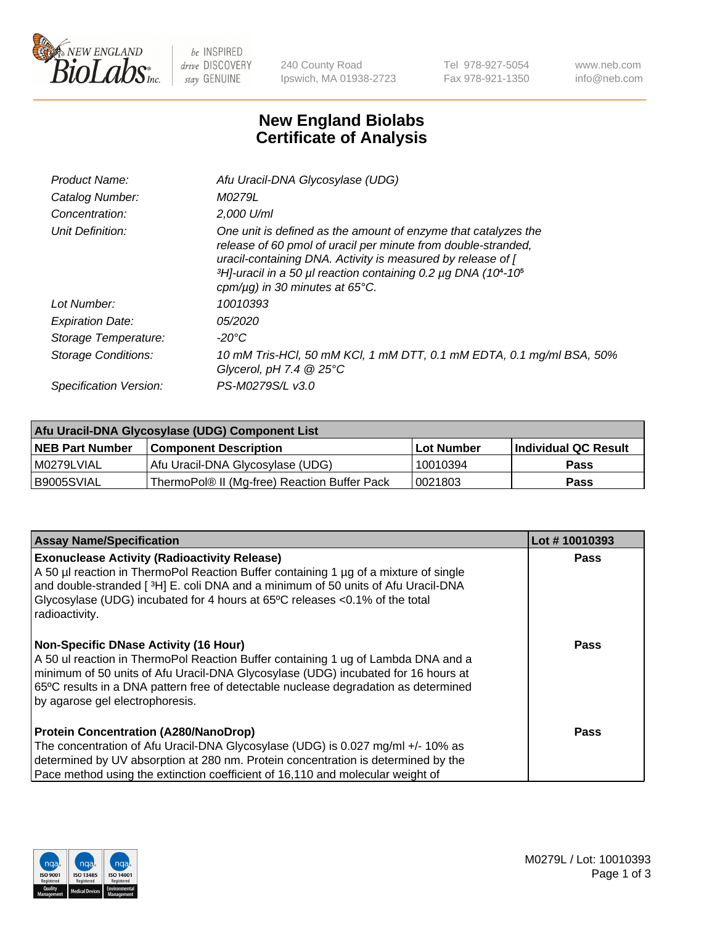

 $be$  INSPIRED drive DISCOVERY stay GENUINE

240 County Road Ipswich, MA 01938-2723 Tel 978-927-5054 Fax 978-921-1350 www.neb.com info@neb.com

## **New England Biolabs Certificate of Analysis**

| Afu Uracil-DNA Glycosylase (UDG)                                                                                                                                                                                                                                                                                                     |
|--------------------------------------------------------------------------------------------------------------------------------------------------------------------------------------------------------------------------------------------------------------------------------------------------------------------------------------|
| M0279L                                                                                                                                                                                                                                                                                                                               |
| 2,000 U/ml                                                                                                                                                                                                                                                                                                                           |
| One unit is defined as the amount of enzyme that catalyzes the<br>release of 60 pmol of uracil per minute from double-stranded,<br>uracil-containing DNA. Activity is measured by release of [<br>$3H$ -uracil in a 50 µl reaction containing 0.2 µg DNA (10 <sup>4</sup> -10 <sup>5</sup> )<br>cpm/ $\mu$ g) in 30 minutes at 65°C. |
| 10010393                                                                                                                                                                                                                                                                                                                             |
| <i>05/2020</i>                                                                                                                                                                                                                                                                                                                       |
| -20°C                                                                                                                                                                                                                                                                                                                                |
| 10 mM Tris-HCl, 50 mM KCl, 1 mM DTT, 0.1 mM EDTA, 0.1 mg/ml BSA, 50%<br>Glycerol, pH 7.4 $@25^{\circ}C$                                                                                                                                                                                                                              |
| PS-M0279S/L v3.0                                                                                                                                                                                                                                                                                                                     |
|                                                                                                                                                                                                                                                                                                                                      |

| Afu Uracil-DNA Glycosylase (UDG) Component List |                                              |                   |                      |  |  |
|-------------------------------------------------|----------------------------------------------|-------------------|----------------------|--|--|
| <b>NEB Part Number</b>                          | <b>Component Description</b>                 | <b>Lot Number</b> | Individual QC Result |  |  |
| I M0279LVIAL                                    | Afu Uracil-DNA Glycosylase (UDG)             | 10010394          | <b>Pass</b>          |  |  |
| I B9005SVIAL                                    | ThermoPol® II (Mg-free) Reaction Buffer Pack | 10021803          | Pass                 |  |  |

| <b>Assay Name/Specification</b>                                                                                                                                                                                                                                                                                                                  | Lot #10010393 |
|--------------------------------------------------------------------------------------------------------------------------------------------------------------------------------------------------------------------------------------------------------------------------------------------------------------------------------------------------|---------------|
| <b>Exonuclease Activity (Radioactivity Release)</b><br>A 50 µl reaction in ThermoPol Reaction Buffer containing 1 µg of a mixture of single<br>and double-stranded [3H] E. coli DNA and a minimum of 50 units of Afu Uracil-DNA<br>Glycosylase (UDG) incubated for 4 hours at 65°C releases <0.1% of the total<br>radioactivity.                 | <b>Pass</b>   |
| <b>Non-Specific DNase Activity (16 Hour)</b><br>A 50 ul reaction in ThermoPol Reaction Buffer containing 1 ug of Lambda DNA and a<br>minimum of 50 units of Afu Uracil-DNA Glycosylase (UDG) incubated for 16 hours at<br>65°C results in a DNA pattern free of detectable nuclease degradation as determined<br>by agarose gel electrophoresis. | Pass          |
| <b>Protein Concentration (A280/NanoDrop)</b><br>The concentration of Afu Uracil-DNA Glycosylase (UDG) is 0.027 mg/ml +/- 10% as<br>determined by UV absorption at 280 nm. Protein concentration is determined by the<br>Pace method using the extinction coefficient of 16,110 and molecular weight of                                           | Pass          |

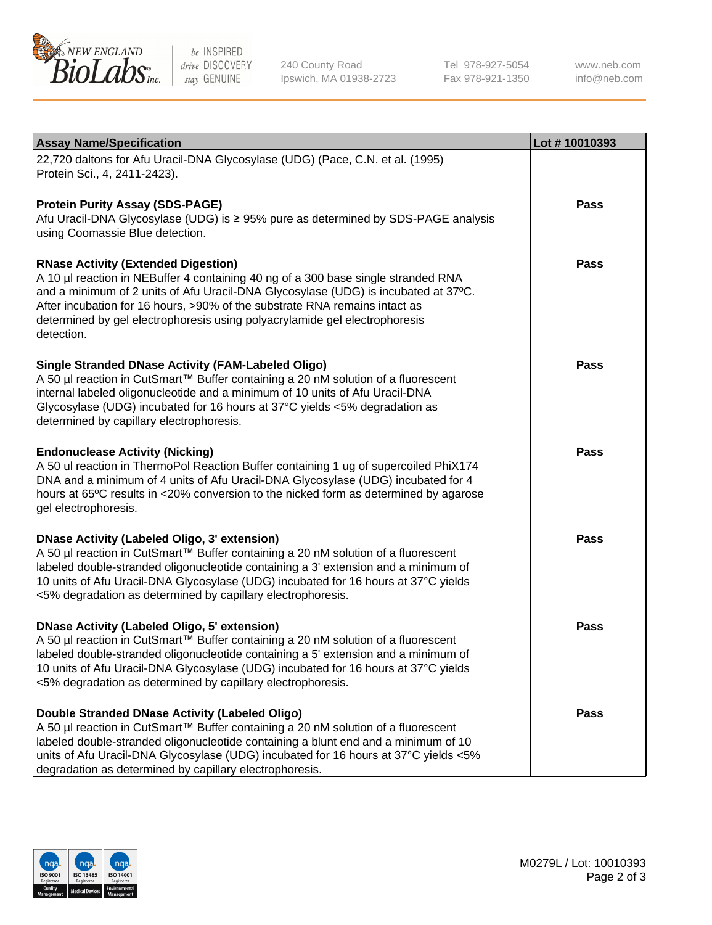

be INSPIRED drive DISCOVERY stay GENUINE

240 County Road Ipswich, MA 01938-2723 Tel 978-927-5054 Fax 978-921-1350

www.neb.com info@neb.com

| <b>Assay Name/Specification</b>                                                                                                                                                                                                                                                                                                                                                                 | Lot #10010393 |
|-------------------------------------------------------------------------------------------------------------------------------------------------------------------------------------------------------------------------------------------------------------------------------------------------------------------------------------------------------------------------------------------------|---------------|
| 22,720 daltons for Afu Uracil-DNA Glycosylase (UDG) (Pace, C.N. et al. (1995)<br>Protein Sci., 4, 2411-2423).                                                                                                                                                                                                                                                                                   |               |
| <b>Protein Purity Assay (SDS-PAGE)</b><br>Afu Uracil-DNA Glycosylase (UDG) is ≥ 95% pure as determined by SDS-PAGE analysis<br>using Coomassie Blue detection.                                                                                                                                                                                                                                  | <b>Pass</b>   |
| <b>RNase Activity (Extended Digestion)</b><br>A 10 µl reaction in NEBuffer 4 containing 40 ng of a 300 base single stranded RNA<br>and a minimum of 2 units of Afu Uracil-DNA Glycosylase (UDG) is incubated at 37°C.<br>After incubation for 16 hours, >90% of the substrate RNA remains intact as<br>determined by gel electrophoresis using polyacrylamide gel electrophoresis<br>detection. | <b>Pass</b>   |
| <b>Single Stranded DNase Activity (FAM-Labeled Oligo)</b><br>A 50 µl reaction in CutSmart™ Buffer containing a 20 nM solution of a fluorescent<br>internal labeled oligonucleotide and a minimum of 10 units of Afu Uracil-DNA<br>Glycosylase (UDG) incubated for 16 hours at 37°C yields <5% degradation as<br>determined by capillary electrophoresis.                                        | Pass          |
| <b>Endonuclease Activity (Nicking)</b><br>A 50 ul reaction in ThermoPol Reaction Buffer containing 1 ug of supercoiled PhiX174<br>DNA and a minimum of 4 units of Afu Uracil-DNA Glycosylase (UDG) incubated for 4<br>hours at 65°C results in <20% conversion to the nicked form as determined by agarose<br>gel electrophoresis.                                                              | <b>Pass</b>   |
| <b>DNase Activity (Labeled Oligo, 3' extension)</b><br>A 50 µl reaction in CutSmart™ Buffer containing a 20 nM solution of a fluorescent<br>labeled double-stranded oligonucleotide containing a 3' extension and a minimum of<br>10 units of Afu Uracil-DNA Glycosylase (UDG) incubated for 16 hours at 37°C yields<br><5% degradation as determined by capillary electrophoresis.             | <b>Pass</b>   |
| <b>DNase Activity (Labeled Oligo, 5' extension)</b><br>A 50 µl reaction in CutSmart™ Buffer containing a 20 nM solution of a fluorescent<br>labeled double-stranded oligonucleotide containing a 5' extension and a minimum of<br>10 units of Afu Uracil-DNA Glycosylase (UDG) incubated for 16 hours at 37°C yields<br><5% degradation as determined by capillary electrophoresis.             | Pass          |
| Double Stranded DNase Activity (Labeled Oligo)<br>A 50 µl reaction in CutSmart™ Buffer containing a 20 nM solution of a fluorescent<br>labeled double-stranded oligonucleotide containing a blunt end and a minimum of 10<br>units of Afu Uracil-DNA Glycosylase (UDG) incubated for 16 hours at 37°C yields <5%<br>degradation as determined by capillary electrophoresis.                     | <b>Pass</b>   |